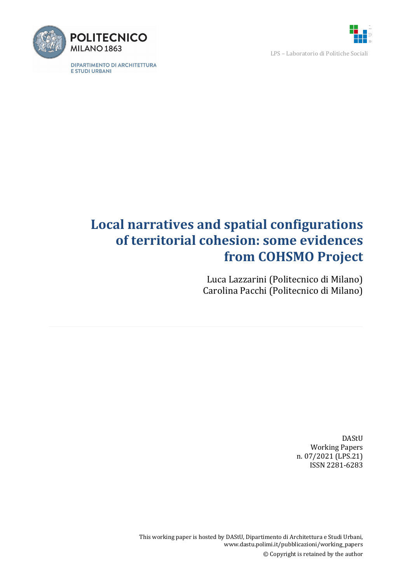

LPS - Laboratorio di Politiche Sociali



**DIPARTIMENTO DI ARCHITETTURA** E STUDI URBANI

# **Local narratives and spatial configurations of territorial cohesion: some evidences from COHSMO Project**

Luca Lazzarini (Politecnico di Milano) Carolina Pacchi (Politecnico di Milano)

> DAStU **Working Papers** n. 07/2021 (LPS.21) ISSN 2281-6283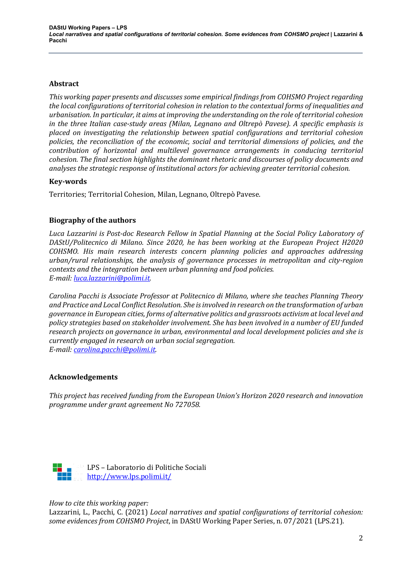# **Abstract**

This working paper presents and discusses some empirical findings from COHSMO Project regarding *the local configurations of territorial cohesion in relation to the contextual forms of inequalities and urbanisation. In particular, it aims at improving the understanding on the role of territorial cohesion in* the three Italian case-study areas (Milan, Legnano and Oltrepò Pavese). A specific emphasis is *placed on investigating the relationship between spatial configurations and territorial cohesion policies, the reconciliation of the economic, social and territorial dimensions of policies, and the contribution of horizontal and multilevel governance arrangements in conducing territorial cohesion. The final section highlights the dominant rhetoric and discourses of policy documents and analyses the strategic response of institutional actors for achieving greater territorial cohesion.*

# **Key-words**

Territories; Territorial Cohesion, Milan, Legnano, Oltrepò Pavese.

# **Biography of the authors**

Luca Lazzarini is Post-doc Research Fellow in Spatial Planning at the Social Policy Laboratory of *DAStU/Politecnico di Milano. Since 2020, he has been working at the European Project H2020 COHSMO. His main research interests concern planning policies and approaches addressing* urban/rural relationships, the analysis of governance processes in metropolitan and city-region *contexts and the integration between urban planning and food policies. E-mail: luca.lazzarini@polimi.it.*

*Carolina Pacchi is Associate Professor at Politecnico di Milano, where she teaches Planning Theory* and Practice and Local Conflict Resolution. She is involved in research on the transformation of urban *governance in European cities, forms of alternative politics and grassroots activism at local level and* policy strategies based on stakeholder involvement. She has been involved in a number of EU funded research projects on governance in urban, environmental and local development policies and she is *currently engaged in research on urban social segregation. E-mail: carolina.pacchi@polimi.it.* 

# **Acknowledgements**

*This project has received funding from the European Union's Horizon 2020 research and innovation programme under grant agreement No 727058.*



# *How to cite this working paper:*

Lazzarini, L., Pacchi, C. (2021) *Local narratives and spatial configurations of territorial cohesion:* some evidences from COHSMO Project, in DAStU Working Paper Series, n. 07/2021 (LPS.21).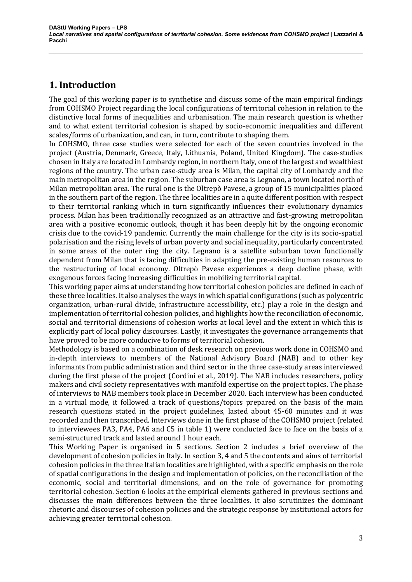# **1. Introduction**

The goal of this working paper is to synthetise and discuss some of the main empirical findings from COHSMO Project regarding the local configurations of territorial cohesion in relation to the distinctive local forms of inequalities and urbanisation. The main research question is whether and to what extent territorial cohesion is shaped by socio-economic inequalities and different scales/forms of urbanization, and can, in turn, contribute to shaping them.

In COHSMO, three case studies were selected for each of the seven countries involved in the project (Austria, Denmark, Greece, Italy, Lithuania, Poland, United Kingdom). The case-studies chosen in Italy are located in Lombardy region, in northern Italy, one of the largest and wealthiest regions of the country. The urban case-study area is Milan, the capital city of Lombardy and the main metropolitan area in the region. The suburban case area is Legnano, a town located north of Milan metropolitan area. The rural one is the Oltrepò Pavese, a group of 15 municipalities placed in the southern part of the region. The three localities are in a quite different position with respect to their territorial ranking which in turn significantly influences their evolutionary dynamics process. Milan has been traditionally recognized as an attractive and fast-growing metropolitan area with a positive economic outlook, though it has been deeply hit by the ongoing economic crisis due to the covid-19 pandemic. Currently the main challenge for the city is its socio-spatial polarisation and the rising levels of urban poverty and social inequality, particularly concentrated in some areas of the outer ring the city. Legnano is a satellite suburban town functionally dependent from Milan that is facing difficulties in adapting the pre-existing human resources to the restructuring of local economy. Oltrepò Pavese experiences a deep decline phase, with exogenous forces facing increasing difficulties in mobilizing territorial capital.

This working paper aims at understanding how territorial cohesion policies are defined in each of these three localities. It also analyses the ways in which spatial configurations (such as polycentric organization, urban-rural divide, infrastructure accessibility, etc.) play a role in the design and implementation of territorial cohesion policies, and highlights how the reconciliation of economic, social and territorial dimensions of cohesion works at local level and the extent in which this is explicitly part of local policy discourses. Lastly, it investigates the governance arrangements that have proved to be more conducive to forms of territorial cohesion.

Methodology is based on a combination of desk research on previous work done in COHSMO and in-depth interviews to members of the National Advisory Board (NAB) and to other key informants from public administration and third sector in the three case-study areas interviewed during the first phase of the project (Cordini et al., 2019). The NAB includes researchers, policy makers and civil society representatives with manifold expertise on the project topics. The phase of interviews to NAB members took place in December 2020. Each interview has been conducted in a virtual mode, it followed a track of questions/topics prepared on the basis of the main research questions stated in the project guidelines, lasted about 45-60 minutes and it was recorded and then transcribed. Interviews done in the first phase of the COHSMO project (related to interviewees PA3, PA4, PA6 and C5 in table 1) were conducted face to face on the basis of a semi-structured track and lasted around 1 hour each.

This Working Paper is organised in 5 sections. Section 2 includes a brief overview of the development of cohesion policies in Italy. In section 3, 4 and 5 the contents and aims of territorial cohesion policies in the three Italian localities are highlighted, with a specific emphasis on the role of spatial configurations in the design and implementation of policies, on the reconciliation of the economic, social and territorial dimensions, and on the role of governance for promoting territorial cohesion. Section 6 looks at the empirical elements gathered in previous sections and discusses the main differences between the three localities. It also scrutinizes the dominant rhetoric and discourses of cohesion policies and the strategic response by institutional actors for achieving greater territorial cohesion.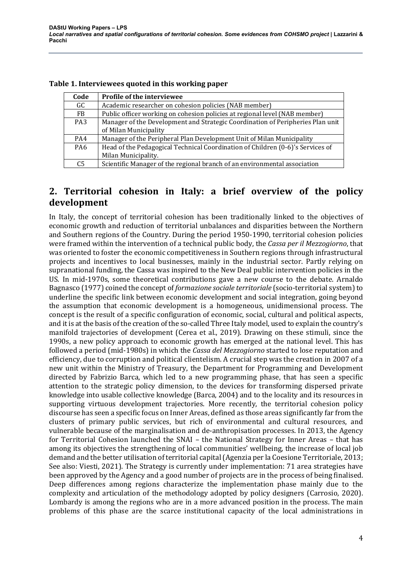| Code            | Profile of the interviewee                                                                              |
|-----------------|---------------------------------------------------------------------------------------------------------|
| GC              | Academic researcher on cohesion policies (NAB member)                                                   |
| FB.             | Public officer working on cohesion policies at regional level (NAB member)                              |
| PA <sub>3</sub> | Manager of the Development and Strategic Coordination of Peripheries Plan unit<br>of Milan Municipality |
| PA4             | Manager of the Peripheral Plan Development Unit of Milan Municipality                                   |
| PA6             | Head of the Pedagogical Technical Coordination of Children (0-6)'s Services of<br>Milan Municipality.   |
| C <sub>5</sub>  | Scientific Manager of the regional branch of an environmental association                               |

#### **Table 1. Interviewees quoted in this working paper**

# **2.** Territorial cohesion in Italy: a brief overview of the policy **development**

In Italy, the concept of territorial cohesion has been traditionally linked to the objectives of economic growth and reduction of territorial unbalances and disparities between the Northern and Southern regions of the Country. During the period 1950-1990, territorial cohesion policies were framed within the intervention of a technical public body, the *Cassa per il Mezzogiorno*, that was oriented to foster the economic competitiveness in Southern regions through infrastructural projects and incentives to local businesses, mainly in the industrial sector. Partly relying on supranational funding, the Cassa was inspired to the New Deal public intervention policies in the US. In mid-1970s, some theoretical contributions gave a new course to the debate. Arnaldo Bagnasco (1977) coined the concept of *formazione sociale territoriale* (socio-territorial system) to underline the specific link between economic development and social integration, going beyond the assumption that economic development is a homogeneous, unidimensional process. The concept is the result of a specific configuration of economic, social, cultural and political aspects, and it is at the basis of the creation of the so-called Three Italy model, used to explain the country's manifold trajectories of development (Cerea et al., 2019). Drawing on these stimuli, since the 1990s, a new policy approach to economic growth has emerged at the national level. This has followed a period (mid-1980s) in which the *Cassa del Mezzogiorno* started to lose reputation and efficiency, due to corruption and political clientelism. A crucial step was the creation in 2007 of a new unit within the Ministry of Treasury, the Department for Programming and Development directed by Fabrizio Barca, which led to a new programming phase, that has seen a specific attention to the strategic policy dimension, to the devices for transforming dispersed private knowledge into usable collective knowledge (Barca, 2004) and to the locality and its resources in supporting virtuous development trajectories. More recently, the territorial cohesion policy discourse has seen a specific focus on Inner Areas, defined as those areas significantly far from the clusters of primary public services, but rich of environmental and cultural resources, and vulnerable because of the marginalisation and de-anthropisation processes. In 2013, the Agency for Territorial Cohesion launched the SNAI - the National Strategy for Inner Areas - that has among its objectives the strengthening of local communities' wellbeing, the increase of local job demand and the better utilisation of territorial capital (Agenzia per la Coesione Territoriale, 2013; See also: Viesti, 2021). The Strategy is currently under implementation: 71 area strategies have been approved by the Agency and a good number of projects are in the process of being finalised. Deep differences among regions characterize the implementation phase mainly due to the complexity and articulation of the methodology adopted by policy designers (Carrosio, 2020). Lombardy is among the regions who are in a more advanced position in the process. The main problems of this phase are the scarce institutional capacity of the local administrations in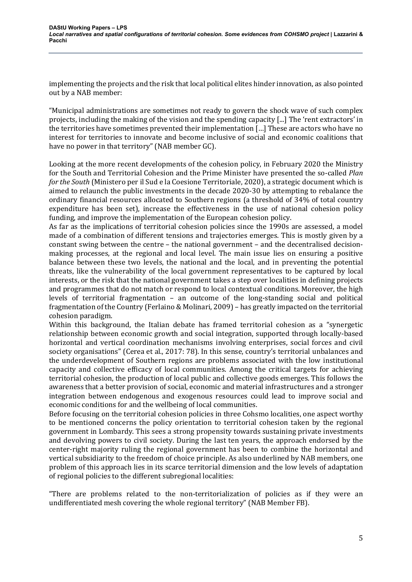implementing the projects and the risk that local political elites hinder innovation, as also pointed out by a NAB member:

"Municipal administrations are sometimes not ready to govern the shock wave of such complex projects, including the making of the vision and the spending capacity [...] The 'rent extractors' in the territories have sometimes prevented their implementation  $\left[\ldots\right]$  These are actors who have no interest for territories to innovate and become inclusive of social and economic coalitions that have no power in that territory" (NAB member GC).

Looking at the more recent developments of the cohesion policy, in February 2020 the Ministry for the South and Territorial Cohesion and the Prime Minister have presented the so-called *Plan for* the South (Ministero per il Sud e la Coesione Territoriale, 2020), a strategic document which is aimed to relaunch the public investments in the decade 2020-30 by attempting to rebalance the ordinary financial resources allocated to Southern regions (a threshold of 34% of total country expenditure has been set), increase the effectiveness in the use of national cohesion policy funding, and improve the implementation of the European cohesion policy.

As far as the implications of territorial cohesion policies since the 1990s are assessed, a model made of a combination of different tensions and trajectories emerges. This is mostly given by a constant swing between the centre  $-$  the national government  $-$  and the decentralised decisionmaking processes, at the regional and local level. The main issue lies on ensuring a positive balance between these two levels, the national and the local, and in preventing the potential threats, like the vulnerability of the local government representatives to be captured by local interests, or the risk that the national government takes a step over localities in defining projects and programmes that do not match or respond to local contextual conditions. Moreover, the high levels of territorial fragmentation - an outcome of the long-standing social and political fragmentation of the Country (Ferlaino & Molinari, 2009) - has greatly impacted on the territorial cohesion paradigm.

Within this background, the Italian debate has framed territorial cohesion as a "synergetic relationship between economic growth and social integration, supported through locally-based horizontal and vertical coordination mechanisms involving enterprises, social forces and civil society organisations" (Cerea et al., 2017: 78). In this sense, country's territorial unbalances and the underdevelopment of Southern regions are problems associated with the low institutional capacity and collective efficacy of local communities. Among the critical targets for achieving territorial cohesion, the production of local public and collective goods emerges. This follows the awareness that a better provision of social, economic and material infrastructures and a stronger integration between endogenous and exogenous resources could lead to improve social and economic conditions for and the wellbeing of local communities.

Before focusing on the territorial cohesion policies in three Cohsmo localities, one aspect worthy to be mentioned concerns the policy orientation to territorial cohesion taken by the regional government in Lombardy. This sees a strong propensity towards sustaining private investments and devolving powers to civil society. During the last ten years, the approach endorsed by the center-right majority ruling the regional government has been to combine the horizontal and vertical subsidiarity to the freedom of choice principle. As also underlined by NAB members, one problem of this approach lies in its scarce territorial dimension and the low levels of adaptation of regional policies to the different subregional localities:

"There are problems related to the non-territorialization of policies as if they were an undifferentiated mesh covering the whole regional territory" (NAB Member FB).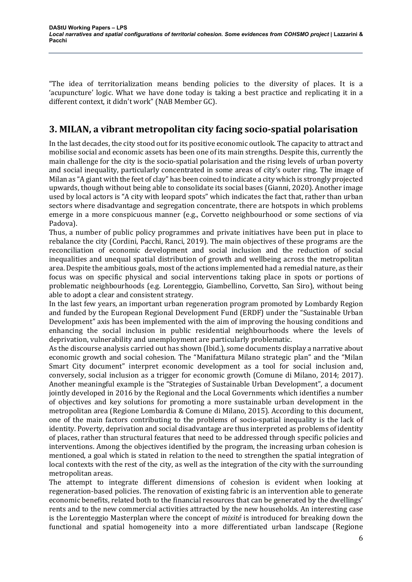"The idea of territorialization means bending policies to the diversity of places. It is a 'acupuncture' logic. What we have done today is taking a best practice and replicating it in a different context, it didn't work" (NAB Member GC).

# **3. MILAN, a vibrant metropolitan city facing socio-spatial polarisation**

In the last decades, the city stood out for its positive economic outlook. The capacity to attract and mobilise social and economic assets has been one of its main strengths. Despite this, currently the main challenge for the city is the socio-spatial polarisation and the rising levels of urban poverty and social inequality, particularly concentrated in some areas of city's outer ring. The image of Milan as "A giant with the feet of clay" has been coined to indicate a city which is strongly projected upwards, though without being able to consolidate its social bases (Gianni, 2020). Another image used by local actors is "A city with leopard spots" which indicates the fact that, rather than urban sectors where disadvantage and segregation concentrate, there are hotspots in which problems emerge in a more conspicuous manner (e.g., Corvetto neighbourhood or some sections of via Padova).

Thus, a number of public policy programmes and private initiatives have been put in place to rebalance the city (Cordini, Pacchi, Ranci, 2019). The main objectives of these programs are the reconciliation of economic development and social inclusion and the reduction of social inequalities and unequal spatial distribution of growth and wellbeing across the metropolitan area. Despite the ambitious goals, most of the actions implemented had a remedial nature, as their focus was on specific physical and social interventions taking place in spots or portions of problematic neighbourhoods (e.g. Lorenteggio, Giambellino, Corvetto, San Siro), without being able to adopt a clear and consistent strategy.

In the last few years, an important urban regeneration program promoted by Lombardy Region and funded by the European Regional Development Fund (ERDF) under the "Sustainable Urban Development" axis has been implemented with the aim of improving the housing conditions and enhancing the social inclusion in public residential neighbourhoods where the levels of deprivation, vulnerability and unemployment are particularly problematic.

As the discourse analysis carried out has shown (Ibid.), some documents display a narrative about economic growth and social cohesion. The "Manifattura Milano strategic plan" and the "Milan Smart City document" interpret economic development as a tool for social inclusion and, conversely, social inclusion as a trigger for economic growth (Comune di Milano, 2014; 2017). Another meaningful example is the "Strategies of Sustainable Urban Development", a document jointly developed in 2016 by the Regional and the Local Governments which identifies a number of objectives and key solutions for promoting a more sustainable urban development in the metropolitan area (Regione Lombardia & Comune di Milano, 2015). According to this document, one of the main factors contributing to the problems of socio-spatial inequality is the lack of identity. Poverty, deprivation and social disadvantage are thus interpreted as problems of identity of places, rather than structural features that need to be addressed through specific policies and interventions. Among the objectives identified by the program, the increasing urban cohesion is mentioned, a goal which is stated in relation to the need to strengthen the spatial integration of local contexts with the rest of the city, as well as the integration of the city with the surrounding metropolitan areas.

The attempt to integrate different dimensions of cohesion is evident when looking at regeneration-based policies. The renovation of existing fabric is an intervention able to generate economic benefits, related both to the financial resources that can be generated by the dwellings' rents and to the new commercial activities attracted by the new households. An interesting case is the Lorenteggio Masterplan where the concept of *mixité* is introduced for breaking down the functional and spatial homogeneity into a more differentiated urban landscape (Regione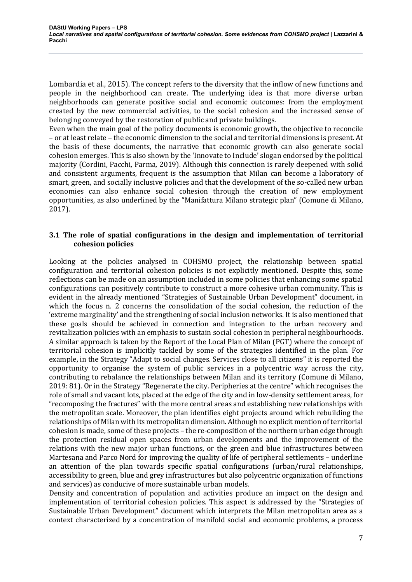Lombardia et al., 2015). The concept refers to the diversity that the inflow of new functions and people in the neighborhood can create. The underlying idea is that more diverse urban neighborhoods can generate positive social and economic outcomes: from the employment created by the new commercial activities, to the social cohesion and the increased sense of belonging conveyed by the restoration of public and private buildings.

Even when the main goal of the policy documents is economic growth, the objective to reconcile – or at least relate – the economic dimension to the social and territorial dimensions is present. At the basis of these documents, the narrative that economic growth can also generate social cohesion emerges. This is also shown by the 'Innovate to Include' slogan endorsed by the political majority (Cordini, Pacchi, Parma, 2019). Although this connection is rarely deepened with solid and consistent arguments, frequent is the assumption that Milan can become a laboratory of smart, green, and socially inclusive policies and that the development of the so-called new urban economies can also enhance social cohesion through the creation of new employment opportunities, as also underlined by the "Manifattura Milano strategic plan" (Comune di Milano, 2017).

# **3.1** The role of spatial configurations in the design and implementation of territorial **cohesion policies**

Looking at the policies analysed in COHSMO project, the relationship between spatial configuration and territorial cohesion policies is not explicitly mentioned. Despite this, some reflections can be made on an assumption included in some policies that enhancing some spatial configurations can positively contribute to construct a more cohesive urban community. This is evident in the already mentioned "Strategies of Sustainable Urban Development" document, in which the focus n. 2 concerns the consolidation of the social cohesion, the reduction of the 'extreme marginality' and the strengthening of social inclusion networks. It is also mentioned that these goals should be achieved in connection and integration to the urban recovery and revitalization policies with an emphasis to sustain social cohesion in peripheral neighbourhoods. A similar approach is taken by the Report of the Local Plan of Milan (PGT) where the concept of territorial cohesion is implicitly tackled by some of the strategies identified in the plan. For example, in the Strategy "Adapt to social changes. Services close to all citizens" it is reported the opportunity to organise the system of public services in a polycentric way across the city, contributing to rebalance the relationships between Milan and its territory (Comune di Milano, 2019: 81). Or in the Strategy "Regenerate the city. Peripheries at the centre" which recognises the role of small and vacant lots, placed at the edge of the city and in low-density settlement areas, for "recomposing the fractures" with the more central areas and establishing new relationships with the metropolitan scale. Moreover, the plan identifies eight projects around which rebuilding the relationships of Milan with its metropolitan dimension. Although no explicit mention of territorial cohesion is made, some of these projects – the re-composition of the northern urban edge through the protection residual open spaces from urban developments and the improvement of the relations with the new major urban functions, or the green and blue infrastructures between Martesana and Parco Nord for improving the quality of life of peripheral settlements – underline an attention of the plan towards specific spatial configurations (urban/rural relationships, accessibility to green, blue and grey infrastructures but also polycentric organization of functions and services) as conducive of more sustainable urban models.

Density and concentration of population and activities produce an impact on the design and implementation of territorial cohesion policies. This aspect is addressed by the "Strategies of Sustainable Urban Development" document which interprets the Milan metropolitan area as a context characterized by a concentration of manifold social and economic problems, a process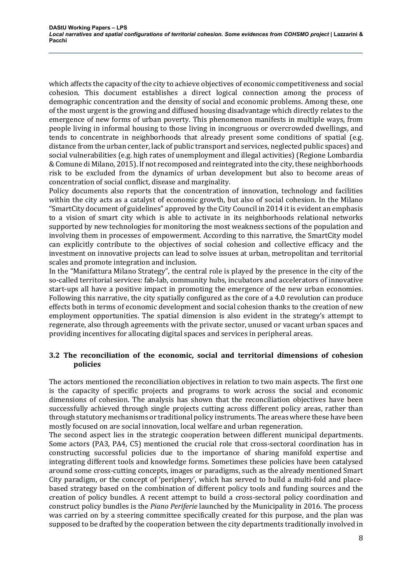which affects the capacity of the city to achieve objectives of economic competitiveness and social cohesion. This document establishes a direct logical connection among the process of demographic concentration and the density of social and economic problems. Among these, one of the most urgent is the growing and diffused housing disadvantage which directly relates to the emergence of new forms of urban poverty. This phenomenon manifests in multiple ways, from people living in informal housing to those living in incongruous or overcrowded dwellings, and tends to concentrate in neighborhoods that already present some conditions of spatial (e.g. distance from the urban center, lack of public transport and services, neglected public spaces) and social vulnerabilities (e.g. high rates of unemployment and illegal activities) (Regione Lombardia & Comune di Milano, 2015). If not recomposed and reintegrated into the city, these neighborhoods risk to be excluded from the dynamics of urban development but also to become areas of concentration of social conflict, disease and marginality.

Policy documents also reports that the concentration of innovation, technology and facilities within the city acts as a catalyst of economic growth, but also of social cohesion. In the Milano "SmartCity document of guidelines" approved by the City Council in 2014 it is evident an emphasis to a vision of smart city which is able to activate in its neighborhoods relational networks supported by new technologies for monitoring the most weakness sections of the population and involving them in processes of empowerment. According to this narrative, the SmartCity model can explicitly contribute to the objectives of social cohesion and collective efficacy and the investment on innovative projects can lead to solve issues at urban, metropolitan and territorial scales and promote integration and inclusion.

In the "Manifattura Milano Strategy", the central role is played by the presence in the city of the so-called territorial services: fab-lab, community hubs, incubators and accelerators of innovative start-ups all have a positive impact in promoting the emergence of the new urban economies. Following this narrative, the city spatially configured as the core of a 4.0 revolution can produce effects both in terms of economic development and social cohesion thanks to the creation of new employment opportunities. The spatial dimension is also evident in the strategy's attempt to regenerate, also through agreements with the private sector, unused or vacant urban spaces and providing incentives for allocating digital spaces and services in peripheral areas.

# **3.2** The reconciliation of the economic, social and territorial dimensions of cohesion **policies**

The actors mentioned the reconciliation objectives in relation to two main aspects. The first one is the capacity of specific projects and programs to work across the social and economic dimensions of cohesion. The analysis has shown that the reconciliation objectives have been successfully achieved through single projects cutting across different policy areas, rather than through statutory mechanisms or traditional policy instruments. The areas where these have been mostly focused on are social innovation, local welfare and urban regeneration.

The second aspect lies in the strategic cooperation between different municipal departments. Some actors (PA3, PA4, C5) mentioned the crucial role that cross-sectoral coordination has in constructing successful policies due to the importance of sharing manifold expertise and integrating different tools and knowledge forms. Sometimes these policies have been catalysed around some cross-cutting concepts, images or paradigms, such as the already mentioned Smart City paradigm, or the concept of 'periphery', which has served to build a multi-fold and placebased strategy based on the combination of different policy tools and funding sources and the creation of policy bundles. A recent attempt to build a cross-sectoral policy coordination and construct policy bundles is the *Piano Periferie* launched by the Municipality in 2016. The process was carried on by a steering committee specifically created for this purpose, and the plan was supposed to be drafted by the cooperation between the city departments traditionally involved in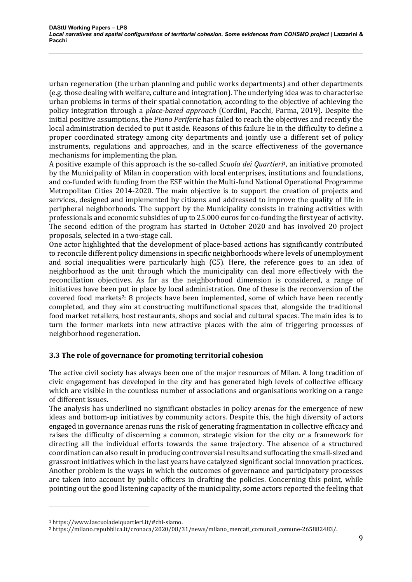urban regeneration (the urban planning and public works departments) and other departments (e.g. those dealing with welfare, culture and integration). The underlying idea was to characterise urban problems in terms of their spatial connotation, according to the objective of achieving the policy integration through a *place-based approach* (Cordini, Pacchi, Parma, 2019). Despite the initial positive assumptions, the *Piano Periferie* has failed to reach the objectives and recently the local administration decided to put it aside. Reasons of this failure lie in the difficulty to define a proper coordinated strategy among city departments and jointly use a different set of policy instruments, regulations and approaches, and in the scarce effectiveness of the governance mechanisms for implementing the plan.

A positive example of this approach is the so-called *Scuola dei Quartieri*<sup>1</sup>, an initiative promoted by the Municipality of Milan in cooperation with local enterprises, institutions and foundations, and co-funded with funding from the ESF within the Multi-fund National Operational Programme Metropolitan Cities 2014-2020. The main objective is to support the creation of projects and services, designed and implemented by citizens and addressed to improve the quality of life in peripheral neighborhoods. The support by the Municipality consists in training activities with professionals and economic subsidies of up to 25.000 euros for co-funding the first year of activity. The second edition of the program has started in October 2020 and has involved 20 project proposals, selected in a two-stage call.

One actor highlighted that the development of place-based actions has significantly contributed to reconcile different policy dimensions in specific neighborhoods where levels of unemployment and social inequalities were particularly high  $(C5)$ . Here, the reference goes to an idea of neighborhood as the unit through which the municipality can deal more effectively with the reconciliation objectives. As far as the neighborhood dimension is considered, a range of initiatives have been put in place by local administration. One of these is the reconversion of the covered food markets<sup>2</sup>: 8 projects have been implemented, some of which have been recently completed, and they aim at constructing multifunctional spaces that, alongside the traditional food market retailers, host restaurants, shops and social and cultural spaces. The main idea is to turn the former markets into new attractive places with the aim of triggering processes of neighborhood regeneration. 

# **3.3** The role of governance for promoting territorial cohesion

The active civil society has always been one of the major resources of Milan. A long tradition of civic engagement has developed in the city and has generated high levels of collective efficacy which are visible in the countless number of associations and organisations working on a range of different issues.

The analysis has underlined no significant obstacles in policy arenas for the emergence of new ideas and bottom-up initiatives by community actors. Despite this, the high diversity of actors engaged in governance arenas runs the risk of generating fragmentation in collective efficacy and raises the difficulty of discerning a common, strategic vision for the city or a framework for directing all the individual efforts towards the same trajectory. The absence of a structured coordination can also result in producing controversial results and suffocating the small-sized and grassroot initiatives which in the last years have catalyzed significant social innovation practices. Another problem is the ways in which the outcomes of governance and participatory processes are taken into account by public officers in drafting the policies. Concerning this point, while pointing out the good listening capacity of the municipality, some actors reported the feeling that

<sup>1</sup> https://www.lascuoladeiquartieri.it/#chi-siamo.

<sup>2</sup> https://milano.repubblica.it/cronaca/2020/08/31/news/milano\_mercati\_comunali\_comune-265882483/.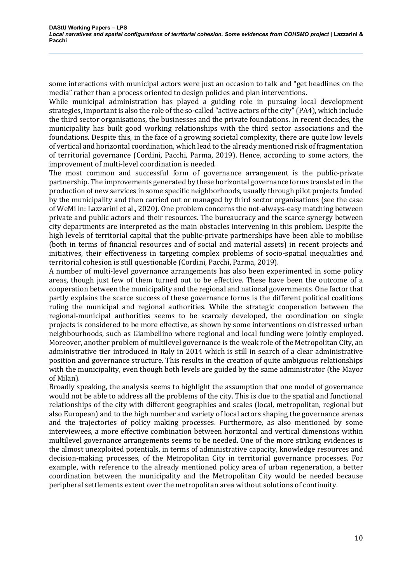some interactions with municipal actors were just an occasion to talk and "get headlines on the media" rather than a process oriented to design policies and plan interventions.

While municipal administration has played a guiding role in pursuing local development strategies, important is also the role of the so-called "active actors of the city" (PA4), which include the third sector organisations, the businesses and the private foundations. In recent decades, the municipality has built good working relationships with the third sector associations and the foundations. Despite this, in the face of a growing societal complexity, there are quite low levels of vertical and horizontal coordination, which lead to the already mentioned risk of fragmentation of territorial governance (Cordini, Pacchi, Parma, 2019). Hence, according to some actors, the improvement of multi-level coordination is needed.

The most common and successful form of governance arrangement is the public-private partnership. The improvements generated by these horizontal governance forms translated in the production of new services in some specific neighborhoods, usually through pilot projects funded by the municipality and then carried out or managed by third sector organisations (see the case of WeMi in: Lazzarini et al., 2020). One problem concerns the not-always-easy matching between private and public actors and their resources. The bureaucracy and the scarce synergy between city departments are interpreted as the main obstacles intervening in this problem. Despite the high levels of territorial capital that the public-private partnerships have been able to mobilise (both in terms of financial resources and of social and material assets) in recent projects and initiatives, their effectiveness in targeting complex problems of socio-spatial inequalities and territorial cohesion is still questionable (Cordini, Pacchi, Parma, 2019).

A number of multi-level governance arrangements has also been experimented in some policy areas, though just few of them turned out to be effective. These have been the outcome of a cooperation between the municipality and the regional and national governments. One factor that partly explains the scarce success of these governance forms is the different political coalitions ruling the municipal and regional authorities. While the strategic cooperation between the regional-municipal authorities seems to be scarcely developed, the coordination on single projects is considered to be more effective, as shown by some interventions on distressed urban neighbourhoods, such as Giambellino where regional and local funding were jointly employed. Moreover, another problem of multilevel governance is the weak role of the Metropolitan City, an administrative tier introduced in Italy in 2014 which is still in search of a clear administrative position and governance structure. This results in the creation of quite ambiguous relationships with the municipality, even though both levels are guided by the same administrator (the Mayor of Milan).

Broadly speaking, the analysis seems to highlight the assumption that one model of governance would not be able to address all the problems of the city. This is due to the spatial and functional relationships of the city with different geographies and scales (local, metropolitan, regional but also European) and to the high number and variety of local actors shaping the governance arenas and the trajectories of policy making processes. Furthermore, as also mentioned by some interviewees, a more effective combination between horizontal and vertical dimensions within multilevel governance arrangements seems to be needed. One of the more striking evidences is the almost unexploited potentials, in terms of administrative capacity, knowledge resources and decision-making processes, of the Metropolitan City in territorial governance processes. For example, with reference to the already mentioned policy area of urban regeneration, a better coordination between the municipality and the Metropolitan City would be needed because peripheral settlements extent over the metropolitan area without solutions of continuity.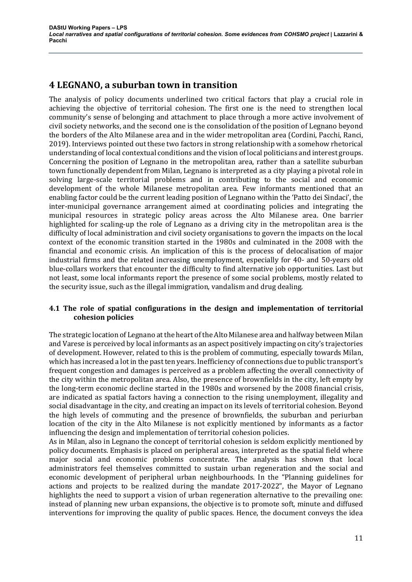# **4 LEGNANO, a suburban town in transition**

The analysis of policy documents underlined two critical factors that play a crucial role in achieving the objective of territorial cohesion. The first one is the need to strengthen local community's sense of belonging and attachment to place through a more active involvement of civil society networks, and the second one is the consolidation of the position of Legnano beyond the borders of the Alto Milanese area and in the wider metropolitan area (Cordini, Pacchi, Ranci, 2019). Interviews pointed out these two factors in strong relationship with a somehow rhetorical understanding of local contextual conditions and the vision of local politicians and interest groups. Concerning the position of Legnano in the metropolitan area, rather than a satellite suburban town functionally dependent from Milan, Legnano is interpreted as a city playing a pivotal role in solving large-scale territorial problems and in contributing to the social and economic development of the whole Milanese metropolitan area. Few informants mentioned that an enabling factor could be the current leading position of Legnano within the 'Patto dei Sindaci', the inter-municipal governance arrangement aimed at coordinating policies and integrating the municipal resources in strategic policy areas across the Alto Milanese area. One barrier highlighted for scaling-up the role of Legnano as a driving city in the metropolitan area is the difficulty of local administration and civil society organisations to govern the impacts on the local context of the economic transition started in the 1980s and culminated in the 2008 with the financial and economic crisis. An implication of this is the process of delocalisation of major industrial firms and the related increasing unemployment, especially for 40- and 50-years old blue-collars workers that encounter the difficulty to find alternative job opportunities. Last but not least, some local informants report the presence of some social problems, mostly related to the security issue, such as the illegal immigration, vandalism and drug dealing.

# **4.1** The role of spatial configurations in the design and implementation of territorial **cohesion policies**

The strategic location of Legnano at the heart of the Alto Milanese area and halfway between Milan and Varese is perceived by local informants as an aspect positively impacting on city's trajectories of development. However, related to this is the problem of commuting, especially towards Milan, which has increased a lot in the past ten years. Inefficiency of connections due to public transport's frequent congestion and damages is perceived as a problem affecting the overall connectivity of the city within the metropolitan area. Also, the presence of brownfields in the city, left empty by the long-term economic decline started in the 1980s and worsened by the 2008 financial crisis, are indicated as spatial factors having a connection to the rising unemployment, illegality and social disadvantage in the city, and creating an impact on its levels of territorial cohesion. Beyond the high levels of commuting and the presence of brownfields, the suburban and periurban location of the city in the Alto Milanese is not explicitly mentioned by informants as a factor influencing the design and implementation of territorial cohesion policies.

As in Milan, also in Legnano the concept of territorial cohesion is seldom explicitly mentioned by policy documents. Emphasis is placed on peripheral areas, interpreted as the spatial field where major social and economic problems concentrate. The analysis has shown that local administrators feel themselves committed to sustain urban regeneration and the social and economic development of peripheral urban neighbourhoods. In the "Planning guidelines for actions and projects to be realized during the mandate 2017-2022", the Mayor of Legnano highlights the need to support a vision of urban regeneration alternative to the prevailing one: instead of planning new urban expansions, the objective is to promote soft, minute and diffused interventions for improving the quality of public spaces. Hence, the document conveys the idea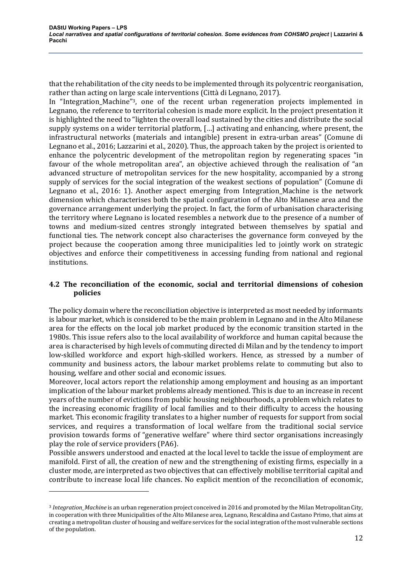that the rehabilitation of the city needs to be implemented through its polycentric reorganisation, rather than acting on large scale interventions (Città di Legnano, 2017).

In "Integration\_Machine"<sup>3</sup>, one of the recent urban regeneration projects implemented in Legnano, the reference to territorial cohesion is made more explicit. In the project presentation it is highlighted the need to "lighten the overall load sustained by the cities and distribute the social supply systems on a wider territorial platform, [...] activating and enhancing, where present, the infrastructural networks (materials and intangible) present in extra-urban areas" (Comune di Legnano et al., 2016; Lazzarini et al., 2020). Thus, the approach taken by the project is oriented to enhance the polycentric development of the metropolitan region by regenerating spaces "in favour of the whole metropolitan area", an objective achieved through the realisation of "an advanced structure of metropolitan services for the new hospitality, accompanied by a strong supply of services for the social integration of the weakest sections of population" (Comune di Legnano et al.,  $2016: 1$ ). Another aspect emerging from Integration Machine is the network dimension which characterises both the spatial configuration of the Alto Milanese area and the governance arrangement underlying the project. In fact, the form of urbanisation characterising the territory where Legnano is located resembles a network due to the presence of a number of towns and medium-sized centres strongly integrated between themselves by spatial and functional ties. The network concept also characterises the governance form conveyed by the project because the cooperation among three municipalities led to jointly work on strategic objectives and enforce their competitiveness in accessing funding from national and regional institutions.

#### **4.2** The reconciliation of the economic, social and territorial dimensions of cohesion **policies**

The policy domain where the reconciliation objective is interpreted as most needed by informants is labour market, which is considered to be the main problem in Legnano and in the Alto Milanese area for the effects on the local job market produced by the economic transition started in the 1980s. This issue refers also to the local availability of workforce and human capital because the area is characterised by high levels of commuting directed di Milan and by the tendency to import low-skilled workforce and export high-skilled workers. Hence, as stressed by a number of community and business actors, the labour market problems relate to commuting but also to housing, welfare and other social and economic issues.

Moreover, local actors report the relationship among employment and housing as an important implication of the labour market problems already mentioned. This is due to an increase in recent years of the number of evictions from public housing neighbourhoods, a problem which relates to the increasing economic fragility of local families and to their difficulty to access the housing market. This economic fragility translates to a higher number of requests for support from social services, and requires a transformation of local welfare from the traditional social service provision towards forms of "generative welfare" where third sector organisations increasingly play the role of service providers (PA6).

Possible answers understood and enacted at the local level to tackle the issue of employment are manifold. First of all, the creation of new and the strengthening of existing firms, especially in a cluster mode, are interpreted as two objectives that can effectively mobilise territorial capital and contribute to increase local life chances. No explicit mention of the reconciliation of economic,

<sup>&</sup>lt;sup>3</sup> Integration\_Machine is an urban regeneration project conceived in 2016 and promoted by the Milan Metropolitan City, in cooperation with three Municipalities of the Alto Milanese area, Legnano, Rescaldina and Castano Primo, that aims at creating a metropolitan cluster of housing and welfare services for the social integration of the most vulnerable sections of the population.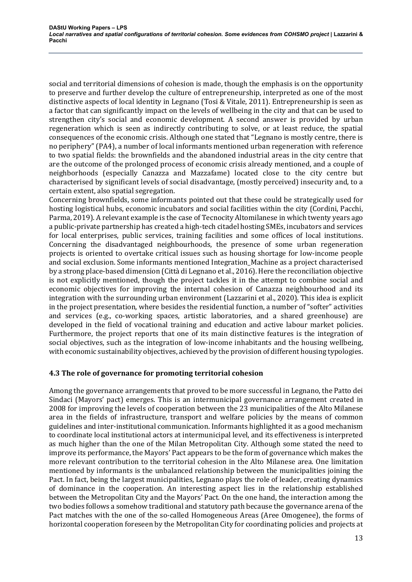social and territorial dimensions of cohesion is made, though the emphasis is on the opportunity to preserve and further develop the culture of entrepreneurship, interpreted as one of the most distinctive aspects of local identity in Legnano (Tosi & Vitale, 2011). Entrepreneurship is seen as a factor that can significantly impact on the levels of wellbeing in the city and that can be used to strengthen city's social and economic development. A second answer is provided by urban regeneration which is seen as indirectly contributing to solve, or at least reduce, the spatial consequences of the economic crisis. Although one stated that "Legnano is mostly centre, there is no periphery" (PA4), a number of local informants mentioned urban regeneration with reference to two spatial fields: the brownfields and the abandoned industrial areas in the city centre that are the outcome of the prolonged process of economic crisis already mentioned, and a couple of neighborhoods (especially Canazza and Mazzafame) located close to the city centre but characterised by significant levels of social disadvantage, (mostly perceived) insecurity and, to a certain extent, also spatial segregation.

Concerning brownfields, some informants pointed out that these could be strategically used for hosting logistical hubs, economic incubators and social facilities within the city (Cordini, Pacchi, Parma, 2019). A relevant example is the case of Tecnocity Altomilanese in which twenty years ago a public-private partnership has created a high-tech citadel hosting SMEs, incubators and services for local enterprises, public services, training facilities and some offices of local institutions. Concerning the disadvantaged neighbourhoods, the presence of some urban regeneration projects is oriented to overtake critical issues such as housing shortage for low-income people and social exclusion. Some informants mentioned Integration\_Machine as a project characterised by a strong place-based dimension (Città di Legnano et al., 2016). Here the reconciliation objective is not explicitly mentioned, though the project tackles it in the attempt to combine social and economic objectives for improving the internal cohesion of Canazza neighbourhood and its integration with the surrounding urban environment (Lazzarini et al., 2020). This idea is explicit in the project presentation, where besides the residential function, a number of "softer" activities and services (e.g., co-working spaces, artistic laboratories, and a shared greenhouse) are developed in the field of vocational training and education and active labour market policies. Furthermore, the project reports that one of its main distinctive features is the integration of social objectives, such as the integration of low-income inhabitants and the housing wellbeing, with economic sustainability objectives, achieved by the provision of different housing typologies.

# **4.3** The role of governance for promoting territorial cohesion

Among the governance arrangements that proved to be more successful in Legnano, the Patto dei Sindaci (Mayors' pact) emerges. This is an intermunicipal governance arrangement created in 2008 for improving the levels of cooperation between the 23 municipalities of the Alto Milanese area in the fields of infrastructure, transport and welfare policies by the means of common guidelines and inter-institutional communication. Informants highlighted it as a good mechanism to coordinate local institutional actors at intermunicipal level, and its effectiveness is interpreted as much higher than the one of the Milan Metropolitan City. Although some stated the need to improve its performance, the Mayors' Pact appears to be the form of governance which makes the more relevant contribution to the territorial cohesion in the Alto Milanese area. One limitation mentioned by informants is the unbalanced relationship between the municipalities joining the Pact. In fact, being the largest municipalities, Legnano plays the role of leader, creating dynamics of dominance in the cooperation. An interesting aspect lies in the relationship established between the Metropolitan City and the Mayors' Pact. On the one hand, the interaction among the two bodies follows a somehow traditional and statutory path because the governance arena of the Pact matches with the one of the so-called Homogeneous Areas (Aree Omogenee), the forms of horizontal cooperation foreseen by the Metropolitan City for coordinating policies and projects at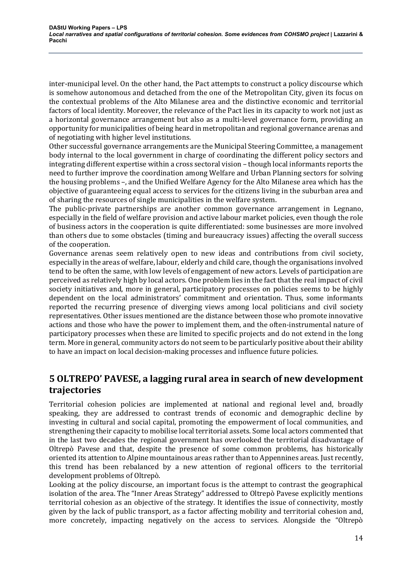inter-municipal level. On the other hand, the Pact attempts to construct a policy discourse which is somehow autonomous and detached from the one of the Metropolitan City, given its focus on the contextual problems of the Alto Milanese area and the distinctive economic and territorial factors of local identity. Moreover, the relevance of the Pact lies in its capacity to work not just as a horizontal governance arrangement but also as a multi-level governance form, providing an opportunity for municipalities of being heard in metropolitan and regional governance arenas and of negotiating with higher level institutions.

Other successful governance arrangements are the Municipal Steering Committee, a management body internal to the local government in charge of coordinating the different policy sectors and integrating different expertise within a cross sectoral vision – though local informants reports the need to further improve the coordination among Welfare and Urban Planning sectors for solving the housing problems -, and the Unified Welfare Agency for the Alto Milanese area which has the objective of guaranteeing equal access to services for the citizens living in the suburban area and of sharing the resources of single municipalities in the welfare system.

The public-private partnerships are another common governance arrangement in Legnano, especially in the field of welfare provision and active labour market policies, even though the role of business actors in the cooperation is quite differentiated: some businesses are more involved than others due to some obstacles (timing and bureaucracy issues) affecting the overall success of the cooperation.

Governance arenas seem relatively open to new ideas and contributions from civil society, especially in the areas of welfare, labour, elderly and child care, though the organisations involved tend to be often the same, with low levels of engagement of new actors. Levels of participation are perceived as relatively high by local actors. One problem lies in the fact that the real impact of civil society initiatives and, more in general, participatory processes on policies seems to be highly dependent on the local administrators' commitment and orientation. Thus, some informants reported the recurring presence of diverging views among local politicians and civil society representatives. Other issues mentioned are the distance between those who promote innovative actions and those who have the power to implement them, and the often-instrumental nature of participatory processes when these are limited to specific projects and do not extend in the long term. More in general, community actors do not seem to be particularly positive about their ability to have an impact on local decision-making processes and influence future policies.

# **5 OLTREPO'** PAVESE, a lagging rural area in search of new development **trajectories**

Territorial cohesion policies are implemented at national and regional level and, broadly speaking, they are addressed to contrast trends of economic and demographic decline by investing in cultural and social capital, promoting the empowerment of local communities, and strengthening their capacity to mobilise local territorial assets. Some local actors commented that in the last two decades the regional government has overlooked the territorial disadvantage of Oltrepò Pavese and that, despite the presence of some common problems, has historically oriented its attention to Alpine mountainous areas rather than to Appennines areas. Just recently, this trend has been rebalanced by a new attention of regional officers to the territorial development problems of Oltrepò.

Looking at the policy discourse, an important focus is the attempt to contrast the geographical isolation of the area. The "Inner Areas Strategy" addressed to Oltrepò Pavese explicitly mentions territorial cohesion as an objective of the strategy. It identifies the issue of connectivity, mostly given by the lack of public transport, as a factor affecting mobility and territorial cohesion and, more concretely, impacting negatively on the access to services. Alongside the "Oltrepò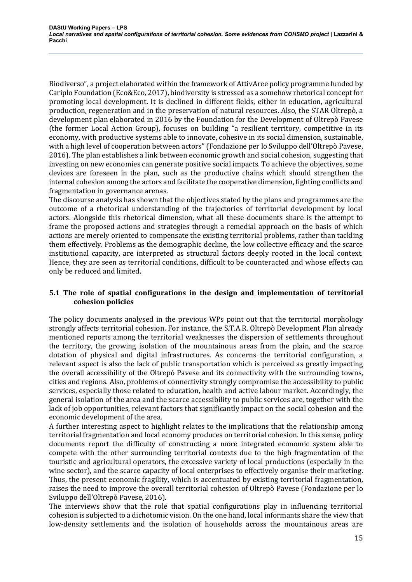Biodiverso", a project elaborated within the framework of AttivAree policy programme funded by Cariplo Foundation (Eco&Eco, 2017), biodiversity is stressed as a somehow rhetorical concept for promoting local development. It is declined in different fields, either in education, agricultural production, regeneration and in the preservation of natural resources. Also, the STAR Oltrepò, a development plan elaborated in 2016 by the Foundation for the Development of Oltrepò Pavese (the former Local Action Group), focuses on building "a resilient territory, competitive in its economy, with productive systems able to innovate, cohesive in its social dimension, sustainable, with a high level of cooperation between actors" (Fondazione per lo Sviluppo dell'Oltrepò Pavese, 2016). The plan establishes a link between economic growth and social cohesion, suggesting that investing on new economies can generate positive social impacts. To achieve the objectives, some devices are foreseen in the plan, such as the productive chains which should strengthen the internal cohesion among the actors and facilitate the cooperative dimension, fighting conflicts and fragmentation in governance arenas.

The discourse analysis has shown that the objectives stated by the plans and programmes are the outcome of a rhetorical understanding of the trajectories of territorial development by local actors. Alongside this rhetorical dimension, what all these documents share is the attempt to frame the proposed actions and strategies through a remedial approach on the basis of which actions are merely oriented to compensate the existing territorial problems, rather than tackling them effectively. Problems as the demographic decline, the low collective efficacy and the scarce institutional capacity, are interpreted as structural factors deeply rooted in the local context. Hence, they are seen as territorial conditions, difficult to be counteracted and whose effects can only be reduced and limited.

# **5.1** The role of spatial configurations in the design and implementation of territorial **cohesion policies**

The policy documents analysed in the previous WPs point out that the territorial morphology strongly affects territorial cohesion. For instance, the S.T.A.R. Oltrepò Development Plan already mentioned reports among the territorial weaknesses the dispersion of settlements throughout the territory, the growing isolation of the mountainous areas from the plain, and the scarce dotation of physical and digital infrastructures. As concerns the territorial configuration, a relevant aspect is also the lack of public transportation which is perceived as greatly impacting the overall accessibility of the Oltrepò Pavese and its connectivity with the surrounding towns, cities and regions. Also, problems of connectivity strongly compromise the accessibility to public services, especially those related to education, health and active labour market. Accordingly, the general isolation of the area and the scarce accessibility to public services are, together with the lack of job opportunities, relevant factors that significantly impact on the social cohesion and the economic development of the area.

A further interesting aspect to highlight relates to the implications that the relationship among territorial fragmentation and local economy produces on territorial cohesion. In this sense, policy documents report the difficulty of constructing a more integrated economic system able to compete with the other surrounding territorial contexts due to the high fragmentation of the touristic and agricultural operators, the excessive variety of local productions (especially in the wine sector), and the scarce capacity of local enterprises to effectively organise their marketing. Thus, the present economic fragility, which is accentuated by existing territorial fragmentation, raises the need to improve the overall territorial cohesion of Oltrepò Pavese (Fondazione per lo Sviluppo dell'Oltrepò Pavese, 2016).

The interviews show that the role that spatial configurations play in influencing territorial cohesion is subjected to a dichotomic vision. On the one hand, local informants share the view that low-density settlements and the isolation of households across the mountainous areas are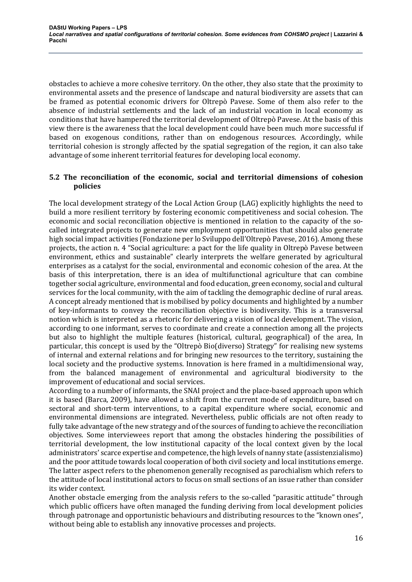obstacles to achieve a more cohesive territory. On the other, they also state that the proximity to environmental assets and the presence of landscape and natural biodiversity are assets that can be framed as potential economic drivers for Oltrepò Pavese. Some of them also refer to the absence of industrial settlements and the lack of an industrial vocation in local economy as conditions that have hampered the territorial development of Oltrepò Pavese. At the basis of this view there is the awareness that the local development could have been much more successful if based on exogenous conditions, rather than on endogenous resources. Accordingly, while territorial cohesion is strongly affected by the spatial segregation of the region, it can also take advantage of some inherent territorial features for developing local economy.

#### **5.2** The reconciliation of the economic, social and territorial dimensions of cohesion **policies**

The local development strategy of the Local Action Group (LAG) explicitly highlights the need to build a more resilient territory by fostering economic competitiveness and social cohesion. The economic and social reconciliation objective is mentioned in relation to the capacity of the socalled integrated projects to generate new employment opportunities that should also generate high social impact activities (Fondazione per lo Sviluppo dell'Oltrepò Pavese, 2016). Among these projects, the action n. 4 "Social agriculture: a pact for the life quality in Oltrepò Pavese between environment, ethics and sustainable" clearly interprets the welfare generated by agricultural enterprises as a catalyst for the social, environmental and economic cohesion of the area. At the basis of this interpretation, there is an idea of multifunctional agriculture that can combine together social agriculture, environmental and food education, green economy, social and cultural services for the local community, with the aim of tackling the demographic decline of rural areas. A concept already mentioned that is mobilised by policy documents and highlighted by a number of key-informants to convey the reconciliation objective is biodiversity. This is a transversal notion which is interpreted as a rhetoric for delivering a vision of local development. The vision, according to one informant, serves to coordinate and create a connection among all the projects but also to highlight the multiple features (historical, cultural, geographical) of the area, In particular, this concept is used by the "Oltrepò Bio(diverso) Strategy" for realising new systems of internal and external relations and for bringing new resources to the territory, sustaining the local society and the productive systems. Innovation is here framed in a multidimensional way, from the balanced management of environmental and agricultural biodiversity to the improvement of educational and social services.

According to a number of informants, the SNAI project and the place-based approach upon which it is based (Barca, 2009), have allowed a shift from the current mode of expenditure, based on sectoral and short-term interventions, to a capital expenditure where social, economic and environmental dimensions are integrated. Nevertheless, public officials are not often ready to fully take advantage of the new strategy and of the sources of funding to achieve the reconciliation objectives. Some interviewees report that among the obstacles hindering the possibilities of territorial development, the low institutional capacity of the local context given by the local administrators' scarce expertise and competence, the high levels of nanny state (assistenzialismo) and the poor attitude towards local cooperation of both civil society and local institutions emerge. The latter aspect refers to the phenomenon generally recognised as parochialism which refers to the attitude of local institutional actors to focus on small sections of an issue rather than consider its wider context.

Another obstacle emerging from the analysis refers to the so-called "parasitic attitude" through which public officers have often managed the funding deriving from local development policies through patronage and opportunistic behaviours and distributing resources to the "known ones", without being able to establish any innovative processes and projects.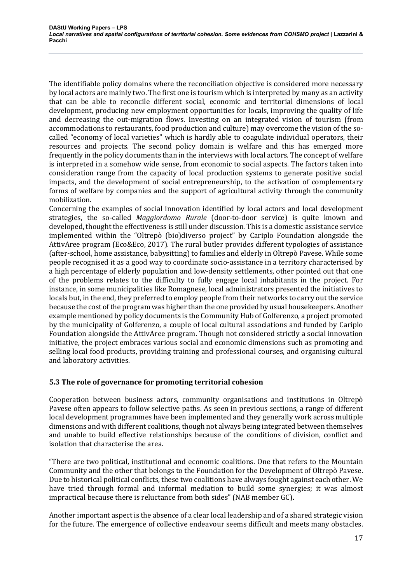The identifiable policy domains where the reconciliation objective is considered more necessary by local actors are mainly two. The first one is tourism which is interpreted by many as an activity that can be able to reconcile different social, economic and territorial dimensions of local development, producing new employment opportunities for locals, improving the quality of life and decreasing the out-migration flows. Investing on an integrated vision of tourism (from accommodations to restaurants, food production and culture) may overcome the vision of the socalled "economy of local varieties" which is hardly able to coagulate individual operators, their resources and projects. The second policy domain is welfare and this has emerged more frequently in the policy documents than in the interviews with local actors. The concept of welfare is interpreted in a somehow wide sense, from economic to social aspects. The factors taken into consideration range from the capacity of local production systems to generate positive social impacts, and the development of social entrepreneurship, to the activation of complementary forms of welfare by companies and the support of agricultural activity through the community mobilization.

Concerning the examples of social innovation identified by local actors and local development strategies, the so-called *Maggiordomo Rurale* (door-to-door service) is quite known and developed, thought the effectiveness is still under discussion. This is a domestic assistance service implemented within the "Oltrepò (bio)diverso project" by Cariplo Foundation alongside the AttivAree program (Eco&Eco, 2017). The rural butler provides different typologies of assistance (after-school, home assistance, babysitting) to families and elderly in Oltrepò Pavese. While some people recognised it as a good way to coordinate socio-assistance in a territory characterised by a high percentage of elderly population and low-density settlements, other pointed out that one of the problems relates to the difficulty to fully engage local inhabitants in the project. For instance, in some municipalities like Romagnese, local administrators presented the initiatives to locals but, in the end, they preferred to employ people from their networks to carry out the service because the cost of the program was higher than the one provided by usual housekeepers. Another example mentioned by policy documents is the Community Hub of Golferenzo, a project promoted by the municipality of Golferenzo, a couple of local cultural associations and funded by Cariplo Foundation alongside the AttivAree program. Though not considered strictly a social innovation initiative, the project embraces various social and economic dimensions such as promoting and selling local food products, providing training and professional courses, and organising cultural and laboratory activities.

# **5.3** The role of governance for promoting territorial cohesion

Cooperation between business actors, community organisations and institutions in Oltrepò Pavese often appears to follow selective paths. As seen in previous sections, a range of different local development programmes have been implemented and they generally work across multiple dimensions and with different coalitions, though not always being integrated between themselves and unable to build effective relationships because of the conditions of division, conflict and isolation that characterise the area.

"There are two political, institutional and economic coalitions. One that refers to the Mountain Community and the other that belongs to the Foundation for the Development of Oltrepò Pavese. Due to historical political conflicts, these two coalitions have always fought against each other. We have tried through formal and informal mediation to build some synergies; it was almost impractical because there is reluctance from both sides" (NAB member GC).

Another important aspect is the absence of a clear local leadership and of a shared strategic vision for the future. The emergence of collective endeavour seems difficult and meets many obstacles.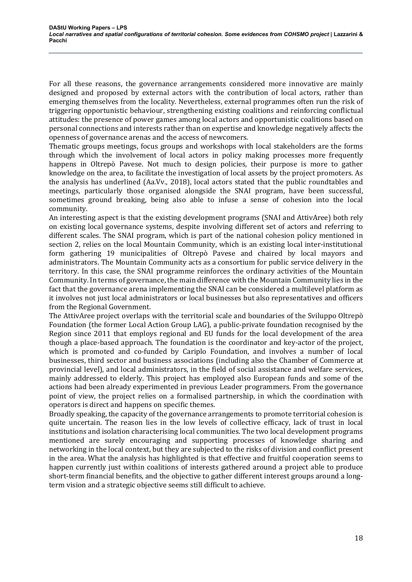For all these reasons, the governance arrangements considered more innovative are mainly designed and proposed by external actors with the contribution of local actors, rather than emerging themselves from the locality. Nevertheless, external programmes often run the risk of triggering opportunistic behaviour, strengthening existing coalitions and reinforcing conflictual attitudes: the presence of power games among local actors and opportunistic coalitions based on personal connections and interests rather than on expertise and knowledge negatively affects the openness of governance arenas and the access of newcomers.

Thematic groups meetings, focus groups and workshops with local stakeholders are the forms through which the involvement of local actors in policy making processes more frequently happens in Oltrepò Pavese. Not much to design policies, their purpose is more to gather knowledge on the area, to facilitate the investigation of local assets by the project promoters. As the analysis has underlined (Aa.Vv., 2018), local actors stated that the public roundtables and meetings, particularly those organised alongside the SNAI program, have been successful, sometimes ground breaking, being also able to infuse a sense of cohesion into the local community.

An interesting aspect is that the existing development programs (SNAI and AttivAree) both rely on existing local governance systems, despite involving different set of actors and referring to different scales. The SNAI program, which is part of the national cohesion policy mentioned in section 2, relies on the local Mountain Community, which is an existing local inter-institutional form gathering 19 municipalities of Oltrepò Pavese and chaired by local mayors and administrators. The Mountain Community acts as a consortium for public service delivery in the territory. In this case, the SNAI programme reinforces the ordinary activities of the Mountain Community. In terms of governance, the main difference with the Mountain Community lies in the fact that the governance arena implementing the SNAI can be considered a multilevel platform as it involves not just local administrators or local businesses but also representatives and officers from the Regional Government.

The AttivAree project overlaps with the territorial scale and boundaries of the Sviluppo Oltrepò Foundation (the former Local Action Group LAG), a public-private foundation recognised by the Region since 2011 that employs regional and EU funds for the local development of the area though a place-based approach. The foundation is the coordinator and key-actor of the project, which is promoted and co-funded by Cariplo Foundation, and involves a number of local businesses, third sector and business associations (including also the Chamber of Commerce at provincial level), and local administrators, in the field of social assistance and welfare services, mainly addressed to elderly. This project has employed also European funds and some of the actions had been already experimented in previous Leader programmers. From the governance point of view, the project relies on a formalised partnership, in which the coordination with operators is direct and happens on specific themes.

Broadly speaking, the capacity of the governance arrangements to promote territorial cohesion is quite uncertain. The reason lies in the low levels of collective efficacy, lack of trust in local institutions and isolation characterising local communities. The two local development programs mentioned are surely encouraging and supporting processes of knowledge sharing and networking in the local context, but they are subjected to the risks of division and conflict present in the area. What the analysis has highlighted is that effective and fruitful cooperation seems to happen currently just within coalitions of interests gathered around a project able to produce short-term financial benefits, and the objective to gather different interest groups around a longterm vision and a strategic objective seems still difficult to achieve.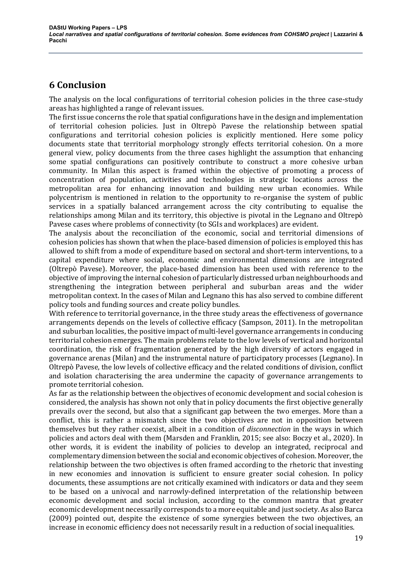# **6 Conclusion**

The analysis on the local configurations of territorial cohesion policies in the three case-study areas has highlighted a range of relevant issues.

The first issue concerns the role that spatial configurations have in the design and implementation of territorial cohesion policies. Just in Oltrepò Pavese the relationship between spatial configurations and territorial cohesion policies is explicitly mentioned. Here some policy documents state that territorial morphology strongly effects territorial cohesion. On a more general view, policy documents from the three cases highlight the assumption that enhancing some spatial configurations can positively contribute to construct a more cohesive urban community. In Milan this aspect is framed within the objective of promoting a process of concentration of population, activities and technologies in strategic locations across the metropolitan area for enhancing innovation and building new urban economies. While polycentrism is mentioned in relation to the opportunity to re-organise the system of public services in a spatially balanced arrangement across the city contributing to equalise the relationships among Milan and its territory, this objective is pivotal in the Legnano and Oltrepò Pavese cases where problems of connectivity (to SGIs and workplaces) are evident.

The analysis about the reconciliation of the economic, social and territorial dimensions of cohesion policies has shown that when the place-based dimension of policies is employed this has allowed to shift from a mode of expenditure based on sectoral and short-term interventions, to a capital expenditure where social, economic and environmental dimensions are integrated (Oltrepò Pavese). Moreover, the place-based dimension has been used with reference to the objective of improving the internal cohesion of particularly distressed urban neighbourhoods and strengthening the integration between peripheral and suburban areas and the wider metropolitan context. In the cases of Milan and Legnano this has also served to combine different policy tools and funding sources and create policy bundles.

With reference to territorial governance, in the three study areas the effectiveness of governance arrangements depends on the levels of collective efficacy (Sampson, 2011). In the metropolitan and suburban localities, the positive impact of multi-level governance arrangements in conducing territorial cohesion emerges. The main problems relate to the low levels of vertical and horizontal coordination, the risk of fragmentation generated by the high diversity of actors engaged in governance arenas (Milan) and the instrumental nature of participatory processes (Legnano). In Oltrepò Pavese, the low levels of collective efficacy and the related conditions of division, conflict and isolation characterising the area undermine the capacity of governance arrangements to promote territorial cohesion.

As far as the relationship between the objectives of economic development and social cohesion is considered, the analysis has shown not only that in policy documents the first objective generally prevails over the second, but also that a significant gap between the two emerges. More than a conflict, this is rather a mismatch since the two objectives are not in opposition between themselves but they rather coexist, albeit in a condition of *disconnection* in the ways in which policies and actors deal with them (Marsden and Franklin, 2015; see also: Boczy et al., 2020). In other words, it is evident the inability of policies to develop an integrated, reciprocal and complementary dimension between the social and economic objectives of cohesion. Moreover, the relationship between the two objectives is often framed according to the rhetoric that investing in new economies and innovation is sufficient to ensure greater social cohesion. In policy documents, these assumptions are not critically examined with indicators or data and they seem to be based on a univocal and narrowly-defined interpretation of the relationship between economic development and social inclusion, according to the common mantra that greater economic development necessarily corresponds to a more equitable and just society. As also Barca (2009) pointed out, despite the existence of some synergies between the two objectives, an increase in economic efficiency does not necessarily result in a reduction of social inequalities.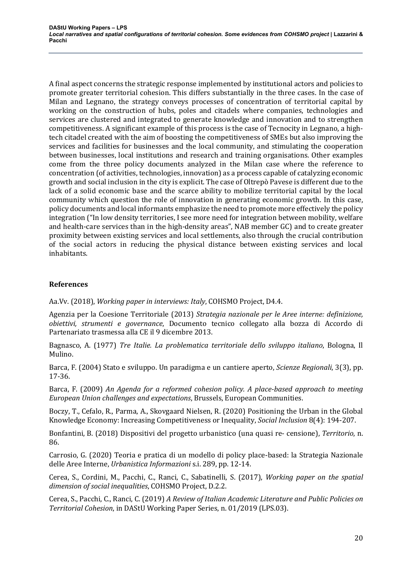A final aspect concerns the strategic response implemented by institutional actors and policies to promote greater territorial cohesion. This differs substantially in the three cases. In the case of Milan and Legnano, the strategy conveys processes of concentration of territorial capital by working on the construction of hubs, poles and citadels where companies, technologies and services are clustered and integrated to generate knowledge and innovation and to strengthen competitiveness. A significant example of this process is the case of Tecnocity in Legnano, a hightech citadel created with the aim of boosting the competitiveness of SMEs but also improving the services and facilities for businesses and the local community, and stimulating the cooperation between businesses, local institutions and research and training organisations. Other examples come from the three policy documents analyzed in the Milan case where the reference to concentration (of activities, technologies, innovation) as a process capable of catalyzing economic growth and social inclusion in the city is explicit. The case of Oltrepò Pavese is different due to the lack of a solid economic base and the scarce ability to mobilize territorial capital by the local community which question the role of innovation in generating economic growth. In this case, policy documents and local informants emphasize the need to promote more effectively the policy integration ("In low density territories, I see more need for integration between mobility, welfare and health-care services than in the high-density areas", NAB member GC) and to create greater proximity between existing services and local settlements, also through the crucial contribution of the social actors in reducing the physical distance between existing services and local inhabitants. 

# **References**

Aa.Vv. (2018), *Working paper in interviews: Italy*, COHSMO Project, D4.4.

Agenzia per la Coesione Territoriale (2013) Strategia nazionale per le Aree interne: definizione, *obiettivi, strumenti e governance*, Documento tecnico collegato alla bozza di Accordo di Partenariato trasmessa alla CE il 9 dicembre 2013.

Bagnasco, A. (1977) *Tre Italie. La problematica territoriale dello sviluppo italiano*, Bologna, Il Mulino.

Barca, F. (2004) Stato e sviluppo. Un paradigma e un cantiere aperto, *Scienze Regionali*, 3(3), pp. 17-36.

Barca, F. (2009) An Agenda for a reformed cohesion policy. A place-based approach to meeting *European Union challenges and expectations*, Brussels, European Communities.

Boczy, T., Cefalo, R., Parma, A., Skovgaard Nielsen, R. (2020) Positioning the Urban in the Global Knowledge Economy: Increasing Competitiveness or Inequality, *Social Inclusion* 8(4): 194-207.

Bonfantini, B. (2018) Dispositivi del progetto urbanistico (una quasi re- censione), *Territorio*, n. 86. 

Carrosio, G. (2020) Teoria e pratica di un modello di policy place-based: la Strategia Nazionale delle Aree Interne, *Urbanistica Informazioni* s.i. 289, pp. 12-14.

Cerea, S., Cordini, M., Pacchi, C., Ranci, C., Sabatinelli, S. (2017), *Working paper on the spatial* dimension of social inequalities, COHSMO Project, D.2.2.

Cerea, S., Pacchi, C., Ranci, C. (2019) *A Review of Italian Academic Literature and Public Policies on Territorial Cohesion*, in DAStU Working Paper Series, n. 01/2019 (LPS.03).